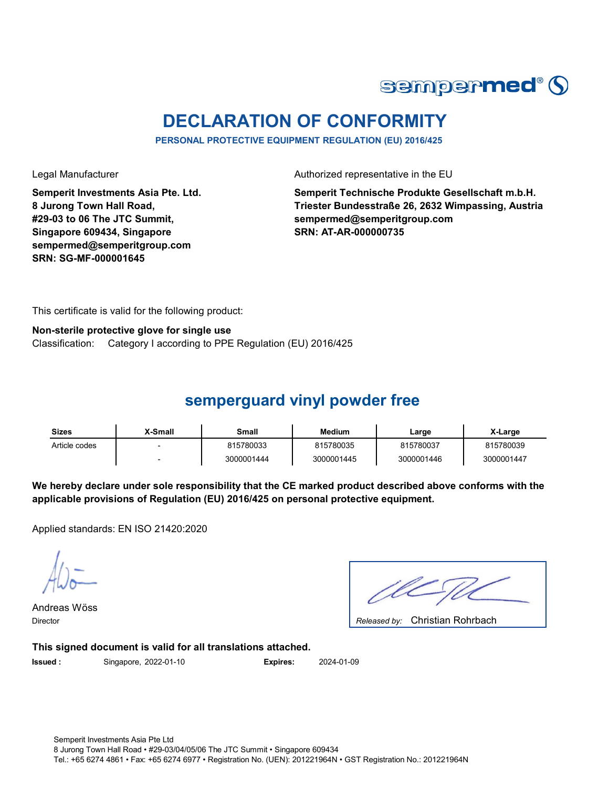

# **DECLARATION OF CONFORMITY**

**PERSONAL PROTECTIVE EQUIPMENT REGULATION (EU) 2016/425**

**Semperit Investments Asia Pte. Ltd. 8 Jurong Town Hall Road, #29-03 to 06 The JTC Summit, Singapore 609434, Singapore sempermed@semperitgroup.com SRN: SG-MF-000001645**

Legal Manufacturer **Authorized representative in the EU** 

**Semperit Technische Produkte Gesellschaft m.b.H. Triester Bundesstraße 26, 2632 Wimpassing, Austria sempermed@semperitgroup.com SRN: AT-AR-000000735**

This certificate is valid for the following product:

#### **Non-sterile protective glove for single use**

Classification: Category I according to PPE Regulation (EU) 2016/425

#### **semperguard vinyl powder free**

| Sizes         | ,X-Small | Small      | Medium     | Large      | X-Large    |
|---------------|----------|------------|------------|------------|------------|
| Article codes |          | 815780033  | 815780035  | 815780037  | 815780039  |
|               |          | 3000001444 | 3000001445 | 3000001446 | 3000001447 |

**We hereby declare under sole responsibility that the CE marked product described above conforms with the applicable provisions of Regulation (EU) 2016/425 on personal protective equipment.**

Applied standards: EN ISO 21420:2020

Andreas Wöss

Christian Rohrbach Director *Released by:* 

**This signed document is valid for all translations attached.**

**Issued :** Singapore, 2022-01-10 **Expires:** 2024-01-09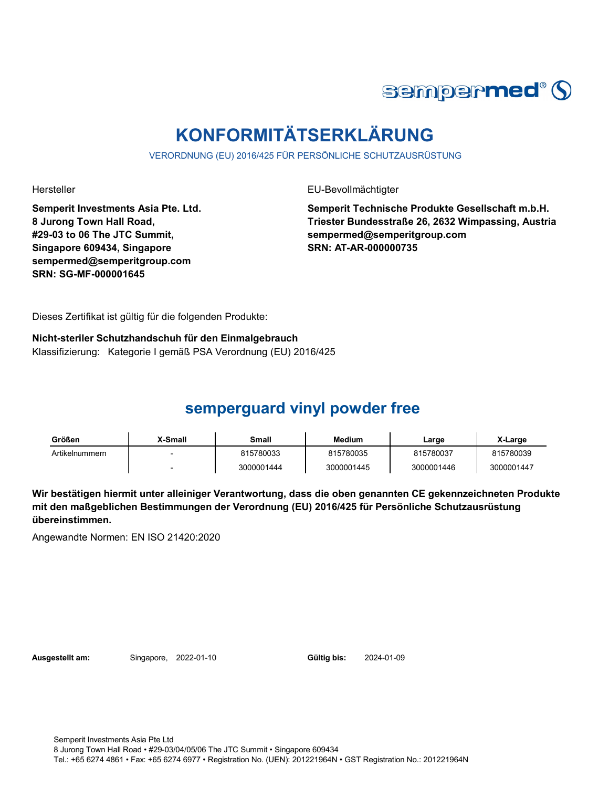

# **KONFORMITÄTSERKLÄRUNG**

VERORDNUNG (EU) 2016/425 FÜR PERSÖNLICHE SCHUTZAUSRÜSTUNG

Hersteller EU-Bevollmächtigter

**Semperit Investments Asia Pte. Ltd. 8 Jurong Town Hall Road, #29-03 to 06 The JTC Summit, Singapore 609434, Singapore sempermed@semperitgroup.com SRN: SG-MF-000001645**

**Semperit Technische Produkte Gesellschaft m.b.H. Triester Bundesstraße 26, 2632 Wimpassing, Austria sempermed@semperitgroup.com SRN: AT-AR-000000735**

Dieses Zertifikat ist gültig für die folgenden Produkte:

**Nicht-steriler Schutzhandschuh für den Einmalgebrauch** Klassifizierung: Kategorie I gemäß PSA Verordnung (EU) 2016/425

### **semperguard vinyl powder free**

| Größen         | <b>X-Small</b> | Small      | <b>Medium</b> | Large      | X-Large    |
|----------------|----------------|------------|---------------|------------|------------|
| Artikelnummern |                | 815780033  | 815780035     | 815780037  | 815780039  |
|                |                | 3000001444 | 3000001445    | 3000001446 | 3000001447 |

**Wir bestätigen hiermit unter alleiniger Verantwortung, dass die oben genannten CE gekennzeichneten Produkte mit den maßgeblichen Bestimmungen der Verordnung (EU) 2016/425 für Persönliche Schutzausrüstung übereinstimmen.**

Angewandte Normen: EN ISO 21420:2020

**Ausgestellt am:** Singapore, 2022-01-10 **Gültig bis:** 2024-01-09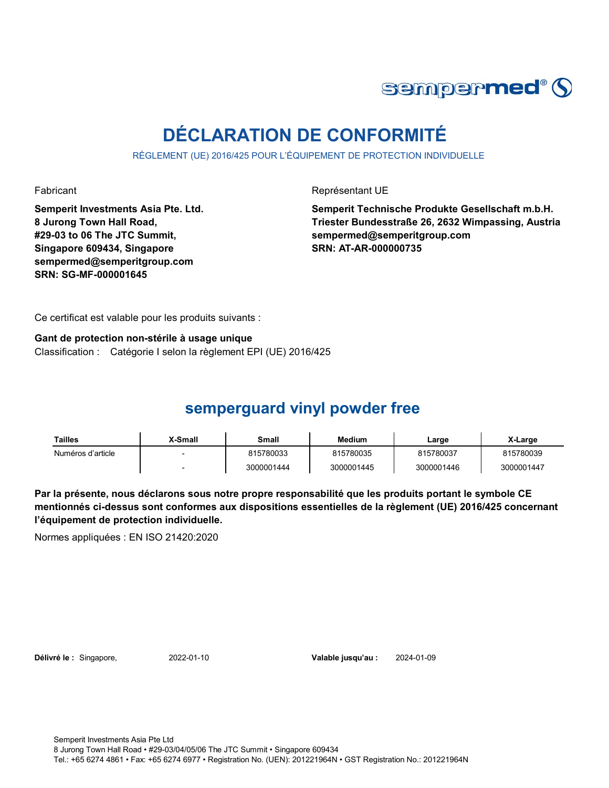

# **DÉCLARATION DE CONFORMITÉ**

RÈGLEMENT (UE) 2016/425 POUR L'ÉQUIPEMENT DE PROTECTION INDIVIDUELLE

**Semperit Investments Asia Pte. Ltd. 8 Jurong Town Hall Road, #29-03 to 06 The JTC Summit, Singapore 609434, Singapore sempermed@semperitgroup.com SRN: SG-MF-000001645**

Fabricant **Représentant UE** 

**Semperit Technische Produkte Gesellschaft m.b.H. Triester Bundesstraße 26, 2632 Wimpassing, Austria sempermed@semperitgroup.com SRN: AT-AR-000000735**

Ce certificat est valable pour les produits suivants :

**Gant de protection non-stérile à usage unique**

Classification : Catégorie I selon la règlement EPI (UE) 2016/425

### **semperguard vinyl powder free**

| Tailles           | X-Small | Small      | <b>Medium</b> | Large      | X-Large    |
|-------------------|---------|------------|---------------|------------|------------|
| Numéros d'article |         | 815780033  | 815780035     | 815780037  | 815780039  |
|                   |         | 3000001444 | 3000001445    | 3000001446 | 3000001447 |

**Par la présente, nous déclarons sous notre propre responsabilité que les produits portant le symbole CE mentionnés ci-dessus sont conformes aux dispositions essentielles de la règlement (UE) 2016/425 concernant l'équipement de protection individuelle.**

Normes appliquées : EN ISO 21420:2020

**Délivré le :** Singapore, 2022-01-10 **Valable jusqu'au :** 2024-01-09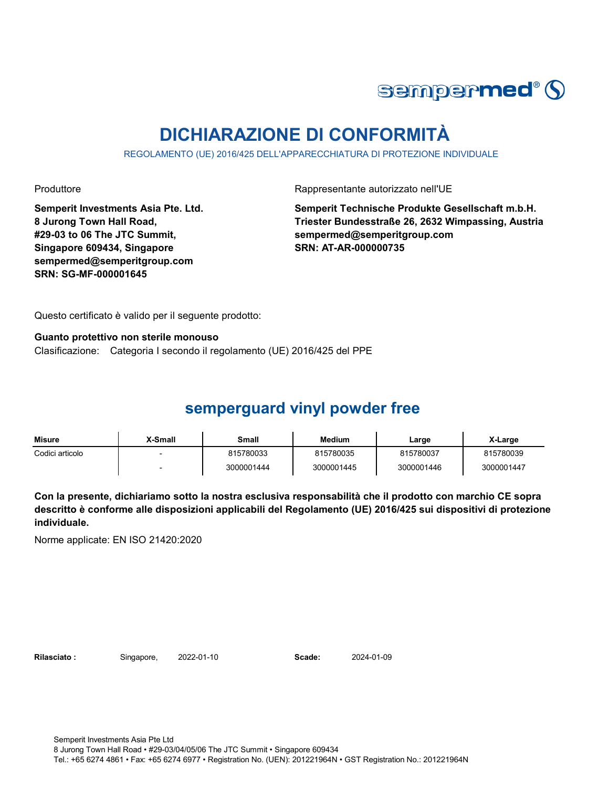

# **DICHIARAZIONE DI CONFORMITÀ**

REGOLAMENTO (UE) 2016/425 DELL'APPARECCHIATURA DI PROTEZIONE INDIVIDUALE

Produttore **Rappresentante autorizzato nell'UE** 

**Semperit Investments Asia Pte. Ltd. 8 Jurong Town Hall Road, #29-03 to 06 The JTC Summit, Singapore 609434, Singapore sempermed@semperitgroup.com SRN: SG-MF-000001645**

**Semperit Technische Produkte Gesellschaft m.b.H. Triester Bundesstraße 26, 2632 Wimpassing, Austria sempermed@semperitgroup.com SRN: AT-AR-000000735**

Questo certificato è valido per il seguente prodotto:

**Guanto protettivo non sterile monouso**

Clasificazione: Categoria I secondo il regolamento (UE) 2016/425 del PPE

### **semperguard vinyl powder free**

| Misure          | <b>X-Small</b> | Small      | <b>Medium</b> | Large      | X-Large    |
|-----------------|----------------|------------|---------------|------------|------------|
| Codici articolo |                | 815780033  | 815780035     | 815780037  | 815780039  |
|                 |                | 3000001444 | 3000001445    | 3000001446 | 3000001447 |

**Con la presente, dichiariamo sotto la nostra esclusiva responsabilità che il prodotto con marchio CE sopra descritto è conforme alle disposizioni applicabili del Regolamento (UE) 2016/425 sui dispositivi di protezione individuale.**

Norme applicate: EN ISO 21420:2020

**Rilasciato :** Singapore, 2022-01-10 **Scade:** 2024-01-09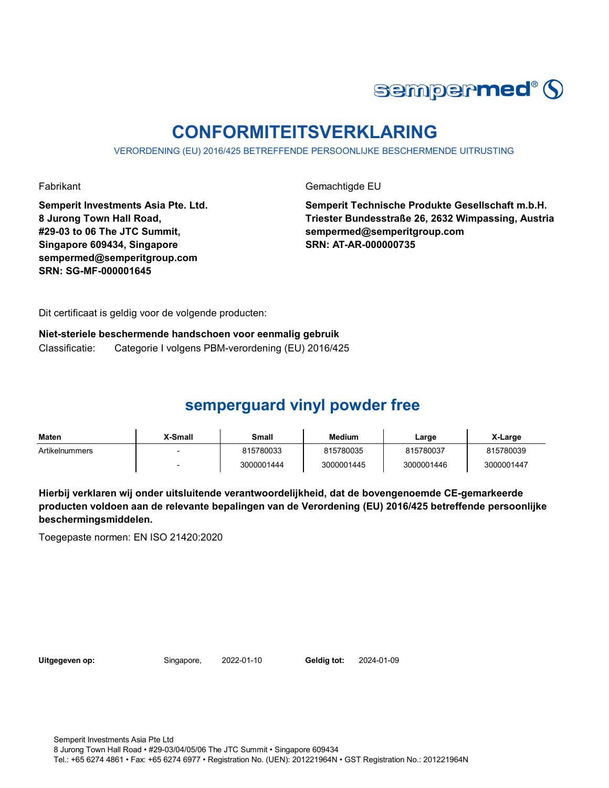

# **CONFORMITEITSVERKLARING**

VERORDENING (EU) 2016/425 BETREFFENDE PERSOONLIJKE BESCHERMENDE UITRUSTING

Fabrikant Gemachtigde EU

**Semperit Investments Asia Pte. Ltd. 8 Jurong Town Hall Road, #29-03 to 06 The JTC Summit, Singapore 609434, Singapore sempermed@semperitgroup.com SRN: SG-MF-000001645**

**Semperit Technische Produkte Gesellschaft m.b.H. Triester Bundesstraße 26, 2632 Wimpassing, Austria sempermed@semperitgroup.com SRN: AT-AR-000000735**

Dit certificaat is geldig voor de volgende producten:

**Niet-steriele beschermende handschoen voor eenmalig gebruik** Classificatie: Categorie I volgens PBM-verordening (EU) 2016/425

## **semperguard vinyl powder free**

| <b>Maten</b>   | X-Small | Small      | Medium     | Large      | X-Large    |
|----------------|---------|------------|------------|------------|------------|
| Artikelnummers |         | 815780033  | 815780035  | 815780037  | 815780039  |
|                |         | 3000001444 | 3000001445 | 3000001446 | 3000001447 |

**Hierbij verklaren wij onder uitsluitende verantwoordelijkheid, dat de bovengenoemde CE-gemarkeerde producten voldoen aan de relevante bepalingen van de Verordening (EU) 2016/425 betreffende persoonlijke beschermingsmiddelen.**

Toegepaste normen: EN ISO 21420:2020

**Uitgegeven op:** Singapore, 2022-01-10 **Geldig tot:** 2024-01-09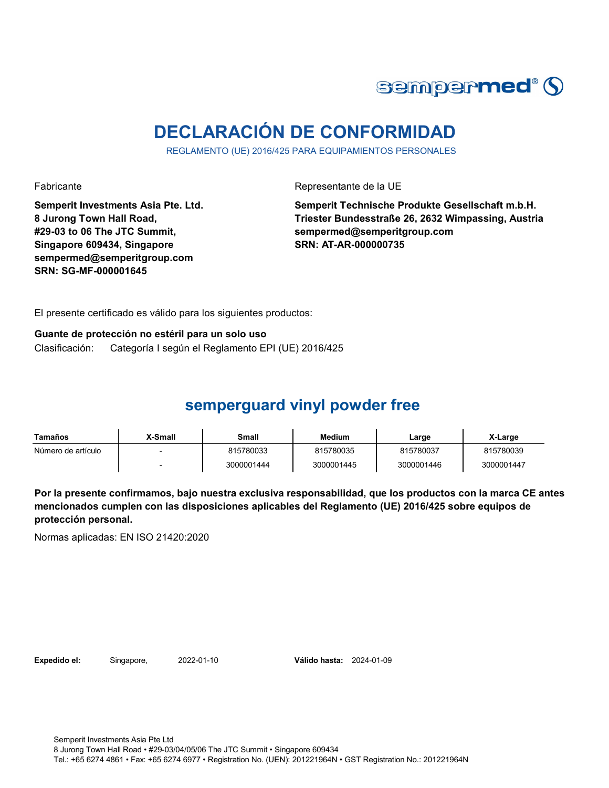

# **DECLARACIÓN DE CONFORMIDAD**

REGLAMENTO (UE) 2016/425 PARA EQUIPAMIENTOS PERSONALES

Fabricante Representante de la UE

**Semperit Investments Asia Pte. Ltd. 8 Jurong Town Hall Road, #29-03 to 06 The JTC Summit, Singapore 609434, Singapore sempermed@semperitgroup.com SRN: SG-MF-000001645**

**Semperit Technische Produkte Gesellschaft m.b.H. Triester Bundesstraße 26, 2632 Wimpassing, Austria sempermed@semperitgroup.com SRN: AT-AR-000000735**

El presente certificado es válido para los siguientes productos:

#### **Guante de protección no estéril para un solo uso**

Clasificación: Categoría I según el Reglamento EPI (UE) 2016/425

### **semperguard vinyl powder free**

| Tamaños            | <b>X-Small</b> | Small      | Medium     | Large      | X-Large    |
|--------------------|----------------|------------|------------|------------|------------|
| Número de artículo |                | 815780033  | 815780035  | 815780037  | 815780039  |
|                    |                | 3000001444 | 3000001445 | 3000001446 | 3000001447 |

**Por la presente confirmamos, bajo nuestra exclusiva responsabilidad, que los productos con la marca CE antes mencionados cumplen con las disposiciones aplicables del Reglamento (UE) 2016/425 sobre equipos de protección personal.**

Normas aplicadas: EN ISO 21420:2020

**Expedido el:** Singapore, 2022-01-10 **Válido hasta:** 2024-01-09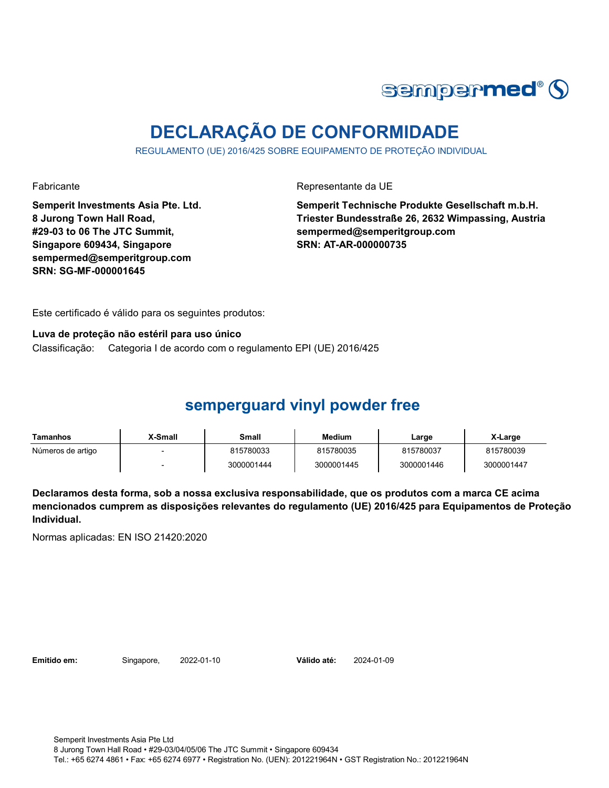

# **DECLARAÇÃO DE CONFORMIDADE**

REGULAMENTO (UE) 2016/425 SOBRE EQUIPAMENTO DE PROTEÇÃO INDIVIDUAL

Fabricante Representante da UE

**Semperit Investments Asia Pte. Ltd. 8 Jurong Town Hall Road, #29-03 to 06 The JTC Summit, Singapore 609434, Singapore sempermed@semperitgroup.com SRN: SG-MF-000001645**

**Semperit Technische Produkte Gesellschaft m.b.H. Triester Bundesstraße 26, 2632 Wimpassing, Austria sempermed@semperitgroup.com SRN: AT-AR-000000735**

Este certificado é válido para os seguintes produtos:

#### **Luva de proteção não estéril para uso único**

Classificação: Categoria I de acordo com o regulamento EPI (UE) 2016/425

### **semperguard vinyl powder free**

| Tamanhos          | X-Small | Small      | <b>Medium</b> | ∟arge      | X-Large    |
|-------------------|---------|------------|---------------|------------|------------|
| Números de artigo |         | 815780033  | 815780035     | 815780037  | 815780039  |
|                   |         | 3000001444 | 3000001445    | 3000001446 | 3000001447 |

**Declaramos desta forma, sob a nossa exclusiva responsabilidade, que os produtos com a marca CE acima mencionados cumprem as disposições relevantes do regulamento (UE) 2016/425 para Equipamentos de Proteção Individual.**

Normas aplicadas: EN ISO 21420:2020

**Emitido em:** Singapore, 2022-01-10 **Válido até:** 2024-01-09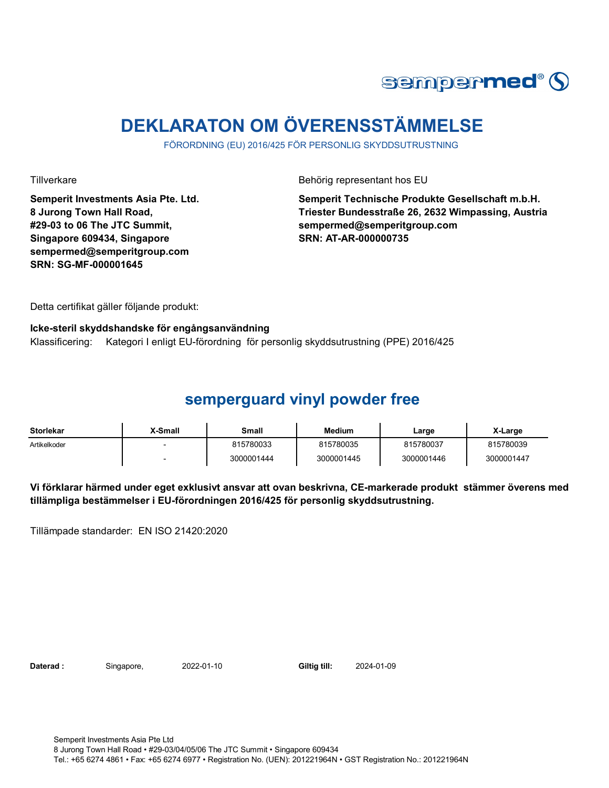

# **DEKLARATON OM ÖVERENSSTÄMMELSE**

FÖRORDNING (EU) 2016/425 FÖR PERSONLIG SKYDDSUTRUSTNING

**Semperit Investments Asia Pte. Ltd. 8 Jurong Town Hall Road, #29-03 to 06 The JTC Summit, Singapore 609434, Singapore sempermed@semperitgroup.com SRN: SG-MF-000001645**

Tillverkare Behörig representant hos EU

**Semperit Technische Produkte Gesellschaft m.b.H. Triester Bundesstraße 26, 2632 Wimpassing, Austria sempermed@semperitgroup.com SRN: AT-AR-000000735**

Detta certifikat gäller följande produkt:

#### **Icke-steril skyddshandske för engångsanvändning**

Klassificering: Kategori I enligt EU-förordning för personlig skyddsutrustning (PPE) 2016/425

#### **semperguard vinyl powder free**

| <b>Storlekar</b> | X-Small | Small      | <b>Medium</b> | Large      | X-Large    |
|------------------|---------|------------|---------------|------------|------------|
| Artikelkoder     |         | 815780033  | 815780035     | 815780037  | 815780039  |
|                  |         | 3000001444 | 3000001445    | 3000001446 | 3000001447 |

**Vi förklarar härmed under eget exklusivt ansvar att ovan beskrivna, CE-markerade produkt stämmer överens med tillämpliga bestämmelser i EU-förordningen 2016/425 för personlig skyddsutrustning.**

Tillämpade standarder: EN ISO 21420:2020

**Daterad :** Singapore, 2022-01-10 **Giltig till:** 2024-01-09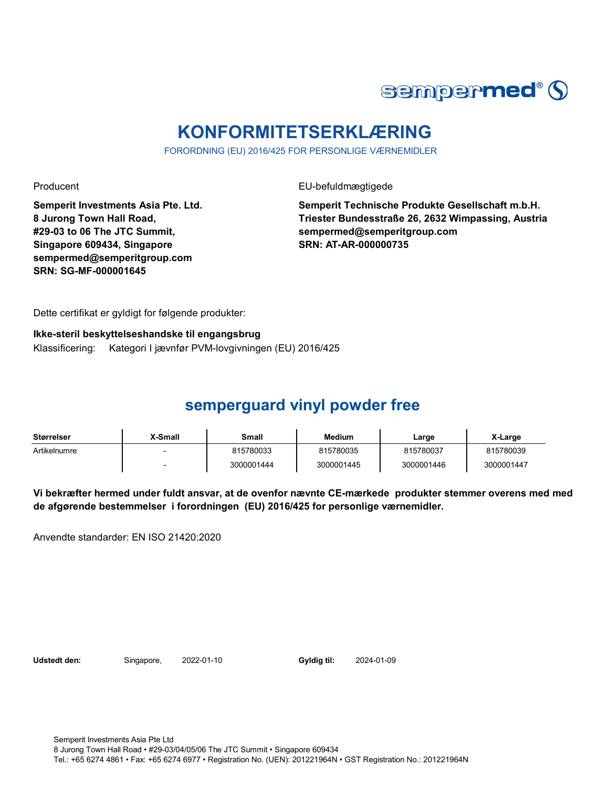

# **KONFORMITETSERKLÆRING**

FORORDNING (EU) 2016/425 FOR PERSONLIGE VÆRNEMIDLER

Producent **EU-befuldmægtigede** 

**Semperit Investments Asia Pte. Ltd. 8 Jurong Town Hall Road, #29-03 to 06 The JTC Summit, Singapore 609434, Singapore sempermed@semperitgroup.com SRN: SG-MF-000001645**

**Semperit Technische Produkte Gesellschaft m.b.H. Triester Bundesstraße 26, 2632 Wimpassing, Austria sempermed@semperitgroup.com SRN: AT-AR-000000735**

Dette certifikat er gyldigt for følgende produkter:

#### **Ikke-steril beskyttelseshandske til engangsbrug**

Klassificering: Kategori I jævnfør PVM-lovgivningen (EU) 2016/425

### **semperguard vinyl powder free**

| <b>Størrelser</b> | X-Small | Small      | <b>Medium</b> | Large      | X-Large    |
|-------------------|---------|------------|---------------|------------|------------|
| Artikelnumre      |         | 815780033  | 815780035     | 815780037  | 815780039  |
|                   |         | 3000001444 | 3000001445    | 3000001446 | 3000001447 |

**Vi bekræfter hermed under fuldt ansvar, at de ovenfor nævnte CE-mærkede produkter stemmer overens med med de afgørende bestemmelser i forordningen (EU) 2016/425 for personlige værnemidler.** 

Anvendte standarder: EN ISO 21420:2020

**Udstedt den:** Singapore, 2022-01-10 **Gyldig til:** 2024-01-09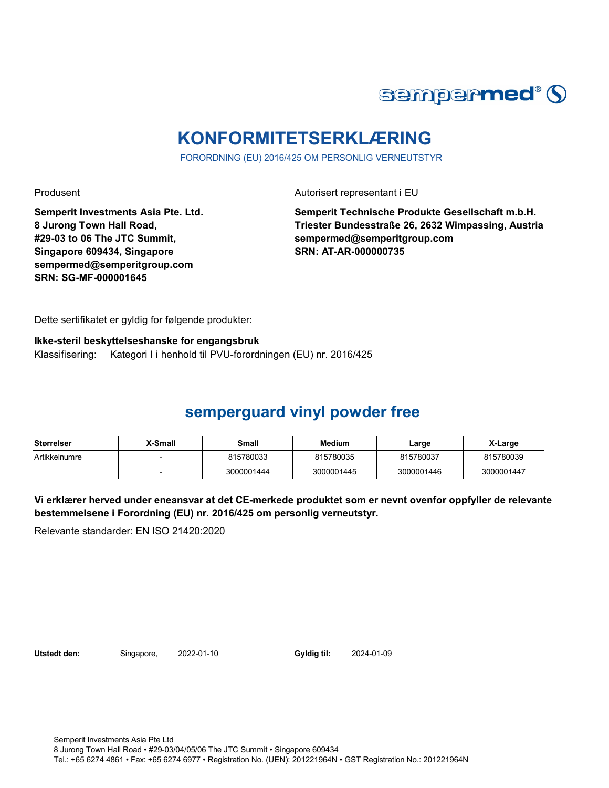

# **KONFORMITETSERKLÆRING**

FORORDNING (EU) 2016/425 OM PERSONLIG VERNEUTSTYR

Produsent Autorisert representant i EU

**Semperit Investments Asia Pte. Ltd. 8 Jurong Town Hall Road, #29-03 to 06 The JTC Summit, Singapore 609434, Singapore sempermed@semperitgroup.com SRN: SG-MF-000001645**

**Semperit Technische Produkte Gesellschaft m.b.H. Triester Bundesstraße 26, 2632 Wimpassing, Austria sempermed@semperitgroup.com SRN: AT-AR-000000735**

Dette sertifikatet er gyldig for følgende produkter:

**Ikke-steril beskyttelseshanske for engangsbruk**

Klassifisering: Kategori I i henhold til PVU-forordningen (EU) nr. 2016/425

## **semperguard vinyl powder free**

| Størrelser    | X-Small | Small      | <b>Medium</b> | ∟arge      | X-Large    |
|---------------|---------|------------|---------------|------------|------------|
| Artikkelnumre |         | 815780033  | 815780035     | 815780037  | 815780039  |
|               |         | 3000001444 | 3000001445    | 3000001446 | 3000001447 |

**Vi erklærer herved under eneansvar at det CE-merkede produktet som er nevnt ovenfor oppfyller de relevante bestemmelsene i Forordning (EU) nr. 2016/425 om personlig verneutstyr.**

Relevante standarder: EN ISO 21420:2020

**Utstedt den:** Singapore, 2022-01-10 **Gyldig til:** 2024-01-09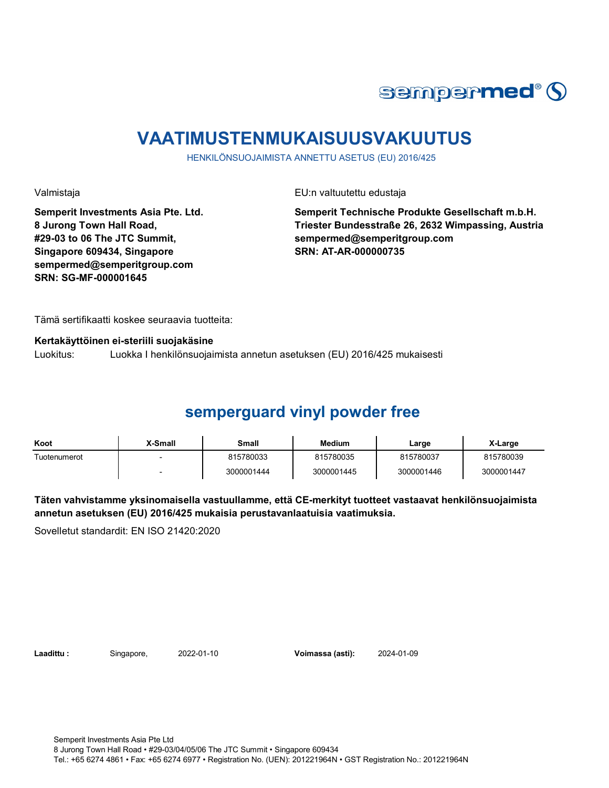

# **VAATIMUSTENMUKAISUUSVAKUUTUS**

HENKILÖNSUOJAIMISTA ANNETTU ASETUS (EU) 2016/425

Valmistaja EU:n valtuutettu edustaja

**Semperit Investments Asia Pte. Ltd. 8 Jurong Town Hall Road, #29-03 to 06 The JTC Summit, Singapore 609434, Singapore sempermed@semperitgroup.com SRN: SG-MF-000001645**

**Semperit Technische Produkte Gesellschaft m.b.H. Triester Bundesstraße 26, 2632 Wimpassing, Austria sempermed@semperitgroup.com SRN: AT-AR-000000735**

Tämä sertifikaatti koskee seuraavia tuotteita:

**Kertakäyttöinen ei-steriili suojakäsine**

Luokitus: Luokka I henkilönsuojaimista annetun asetuksen (EU) 2016/425 mukaisesti

## **semperguard vinyl powder free**

| Koot         | X-Small | Small      | Medium     | Large      | X-Large    |
|--------------|---------|------------|------------|------------|------------|
| Tuotenumerot |         | 815780033  | 815780035  | 815780037  | 815780039  |
|              |         | 3000001444 | 3000001445 | 3000001446 | 3000001447 |

**Täten vahvistamme yksinomaisella vastuullamme, että CE-merkityt tuotteet vastaavat henkilönsuojaimista annetun asetuksen (EU) 2016/425 mukaisia perustavanlaatuisia vaatimuksia.**

Sovelletut standardit: EN ISO 21420:2020

**Laadittu :** Singapore, 2022-01-10 **Voimassa (asti):** 2024-01-09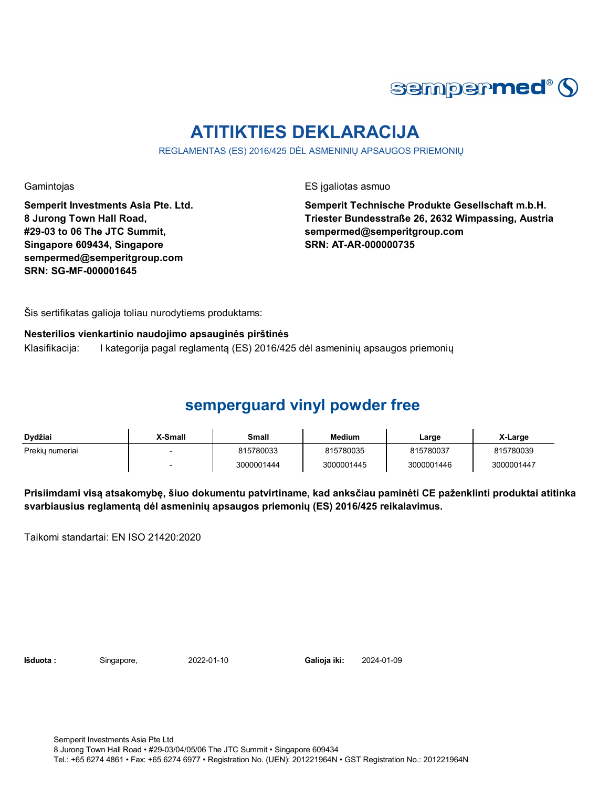

# **ATITIKTIES DEKLARACIJA**

REGLAMENTAS (ES) 2016/425 DĖL ASMENINIŲ APSAUGOS PRIEMONIŲ

Gamintojas **ES** įgaliotas asmuo

**Semperit Investments Asia Pte. Ltd. 8 Jurong Town Hall Road, #29-03 to 06 The JTC Summit, Singapore 609434, Singapore sempermed@semperitgroup.com SRN: SG-MF-000001645**

**Semperit Technische Produkte Gesellschaft m.b.H. Triester Bundesstraße 26, 2632 Wimpassing, Austria sempermed@semperitgroup.com SRN: AT-AR-000000735**

Šis sertifikatas galioja toliau nurodytiems produktams:

#### **Nesterilios vienkartinio naudojimo apsauginės pirštinės**

Klasifikacija: I kategorija pagal reglamentą (ES) 2016/425 dėl asmeninių apsaugos priemonių

### **semperguard vinyl powder free**

| Dydžiai         | X-Small | Small      | <b>Medium</b> | Large      | X-Large    |
|-----------------|---------|------------|---------------|------------|------------|
| Prekiu numeriai |         | 815780033  | 815780035     | 815780037  | 815780039  |
|                 |         | 3000001444 | 3000001445    | 3000001446 | 3000001447 |

**Prisiimdami visą atsakomybę, šiuo dokumentu patvirtiname, kad anksčiau paminėti CE paženklinti produktai atitinka svarbiausius reglamentą dėl asmeninių apsaugos priemonių (ES) 2016/425 reikalavimus.**

Taikomi standartai: EN ISO 21420:2020

**Išduota :** Singapore, 2022-01-10 **Galioja iki:** 2024-01-09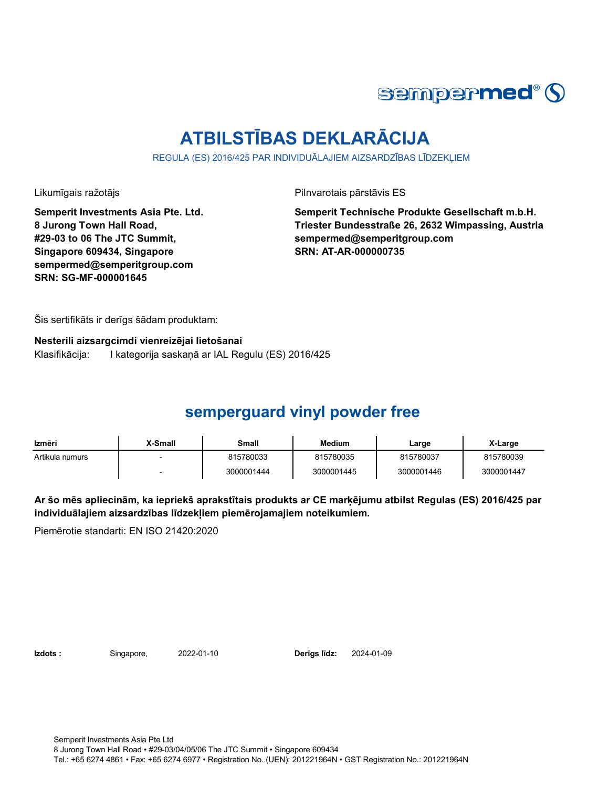

# **ATBILSTĪBAS DEKLARĀCIJA**

REGULA (ES) 2016/425 PAR INDIVIDUĀLAJIEM AIZSARDZĪBAS LĪDZEKLIEM

Likumīgais ražotājs **Pilnvarotais pārstāvis ES** 

**Semperit Investments Asia Pte. Ltd. 8 Jurong Town Hall Road, #29-03 to 06 The JTC Summit, Singapore 609434, Singapore sempermed@semperitgroup.com SRN: SG-MF-000001645**

**Semperit Technische Produkte Gesellschaft m.b.H. Triester Bundesstraße 26, 2632 Wimpassing, Austria sempermed@semperitgroup.com SRN: AT-AR-000000735**

Šis sertifikāts ir derīgs šādam produktam:

**Nesterili aizsargcimdi vienreizējai lietošanai**

Klasifikācija: I kategorija saskaņā ar IAL Regulu (ES) 2016/425

### **semperguard vinyl powder free**

| Izmēri          | X-Small | Small      | <b>Medium</b> | Large      | X-Large    |
|-----------------|---------|------------|---------------|------------|------------|
| Artikula numurs |         | 815780033  | 815780035     | 815780037  | 815780039  |
|                 |         | 3000001444 | 3000001445    | 3000001446 | 3000001447 |

**Ar šo mēs apliecinām, ka iepriekš aprakstītais produkts ar CE marķējumu atbilst Regulas (ES) 2016/425 par individuālajiem aizsardzības līdzekļiem piemērojamajiem noteikumiem.**

Piemērotie standarti: EN ISO 21420:2020

**Izdots :** Singapore, 2022-01-10 **Derīgs līdz:** 2024-01-09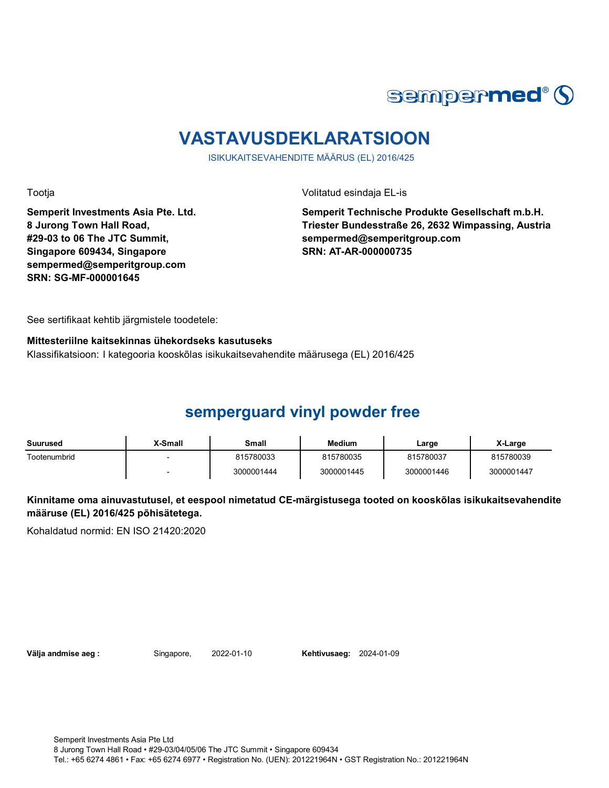

# **VASTAVUSDEKLARATSIOON**

ISIKUKAITSEVAHENDITE MÄÄRUS (EL) 2016/425

Tootja Volitatud esindaja EL-is

**Semperit Investments Asia Pte. Ltd. 8 Jurong Town Hall Road, #29-03 to 06 The JTC Summit, Singapore 609434, Singapore sempermed@semperitgroup.com SRN: SG-MF-000001645**

**Semperit Technische Produkte Gesellschaft m.b.H. Triester Bundesstraße 26, 2632 Wimpassing, Austria sempermed@semperitgroup.com SRN: AT-AR-000000735**

See sertifikaat kehtib järgmistele toodetele:

#### **Mittesteriilne kaitsekinnas ühekordseks kasutuseks**

Klassifikatsioon: I kategooria kooskõlas isikukaitsevahendite määrusega (EL) 2016/425

## **semperguard vinyl powder free**

| Suurused     | X-Small                  | Small      | <b>Medium</b> | Large      | X-Large    |
|--------------|--------------------------|------------|---------------|------------|------------|
| Tootenumbrid | $\overline{\phantom{a}}$ | 815780033  | 815780035     | 815780037  | 815780039  |
|              | $\overline{\phantom{0}}$ | 3000001444 | 3000001445    | 3000001446 | 3000001447 |

**Kinnitame oma ainuvastutusel, et eespool nimetatud CE-märgistusega tooted on kooskõlas isikukaitsevahendite määruse (EL) 2016/425 põhisätetega.**

Kohaldatud normid: EN ISO 21420:2020

**Välja andmise aeg :** Singapore, 2022-01-10 **Kehtivusaeg:** 2024-01-09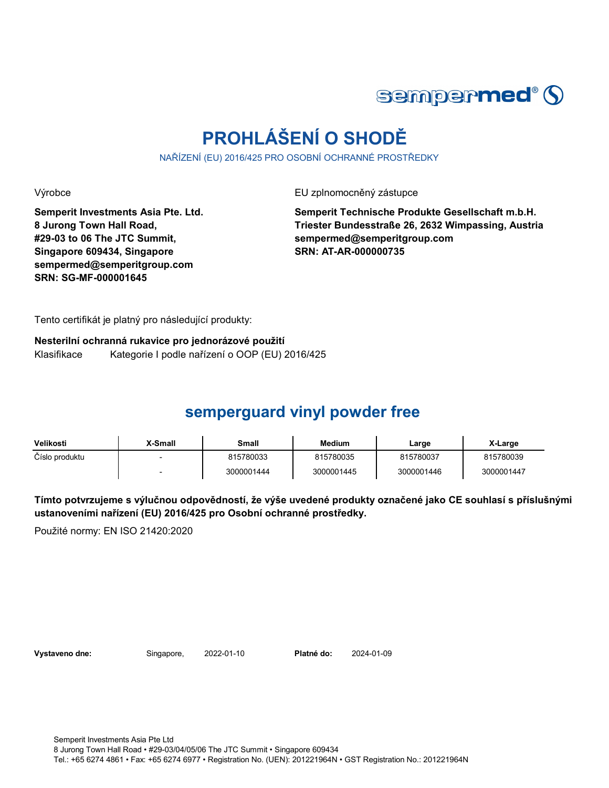

# **PROHLÁŠENÍ O SHODĚ**

NAŘÍZENÍ (EU) 2016/425 PRO OSOBNÍ OCHRANNÉ PROSTŘEDKY

Výrobce EU zplnomocněný zástupce

**Semperit Investments Asia Pte. Ltd. 8 Jurong Town Hall Road, #29-03 to 06 The JTC Summit, Singapore 609434, Singapore sempermed@semperitgroup.com SRN: SG-MF-000001645**

**Semperit Technische Produkte Gesellschaft m.b.H. Triester Bundesstraße 26, 2632 Wimpassing, Austria sempermed@semperitgroup.com SRN: AT-AR-000000735**

Tento certifikát je platný pro následující produkty:

**Nesterilní ochranná rukavice pro jednorázové použití** Klasifikace Kategorie I podle nařízení o OOP (EU) 2016/425

## **semperguard vinyl powder free**

| Velikosti      | X-Small | Small      | Medium     | Large      | X-Large    |
|----------------|---------|------------|------------|------------|------------|
| Číslo produktu |         | 815780033  | 815780035  | 815780037  | 815780039  |
|                |         | 3000001444 | 3000001445 | 3000001446 | 3000001447 |

**Tímto potvrzujeme s výlučnou odpovědností, že výše uvedené produkty označené jako CE souhlasí s příslušnými ustanoveními nařízení (EU) 2016/425 pro Osobní ochranné prostředky.**

Použité normy: EN ISO 21420:2020

**Vystaveno dne:** Singapore, 2022-01-10 **Platné do:** 2024-01-09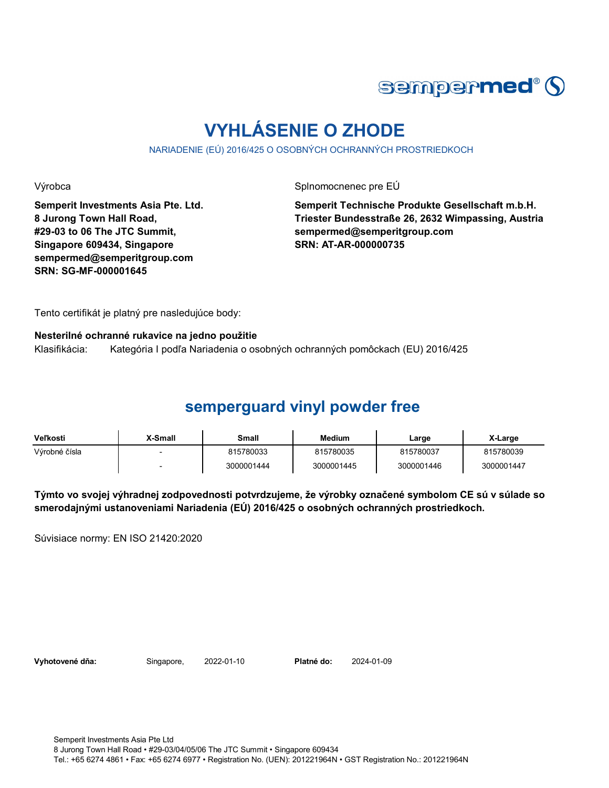

# **VYHLÁSENIE O ZHODE**

NARIADENIE (EÚ) 2016/425 O OSOBNÝCH OCHRANNÝCH PROSTRIEDKOCH

Výrobca Splnomocnenec pre EÚ

**Semperit Investments Asia Pte. Ltd. 8 Jurong Town Hall Road, #29-03 to 06 The JTC Summit, Singapore 609434, Singapore sempermed@semperitgroup.com SRN: SG-MF-000001645**

**Semperit Technische Produkte Gesellschaft m.b.H. Triester Bundesstraße 26, 2632 Wimpassing, Austria sempermed@semperitgroup.com SRN: AT-AR-000000735**

Tento certifikát je platný pre nasledujúce body:

#### **Nesterilné ochranné rukavice na jedno použitie**

Klasifikácia: Kategória I podľa Nariadenia o osobných ochranných pomôckach (EU) 2016/425

### **semperguard vinyl powder free**

| <b>Veľkosti</b> | X-Small | Small      | <b>Medium</b> | Large      | X-Large    |
|-----------------|---------|------------|---------------|------------|------------|
| Výrobné čísla   |         | 815780033  | 815780035     | 815780037  | 815780039  |
|                 |         | 3000001444 | 3000001445    | 3000001446 | 3000001447 |

**Týmto vo svojej výhradnej zodpovednosti potvrdzujeme, že výrobky označené symbolom CE sú v súlade so smerodajnými ustanoveniami Nariadenia (EÚ) 2016/425 o osobných ochranných prostriedkoch.**

Súvisiace normy: EN ISO 21420:2020

**Vyhotovené dňa:** Singapore, 2022-01-10 **Platné do:** 2024-01-09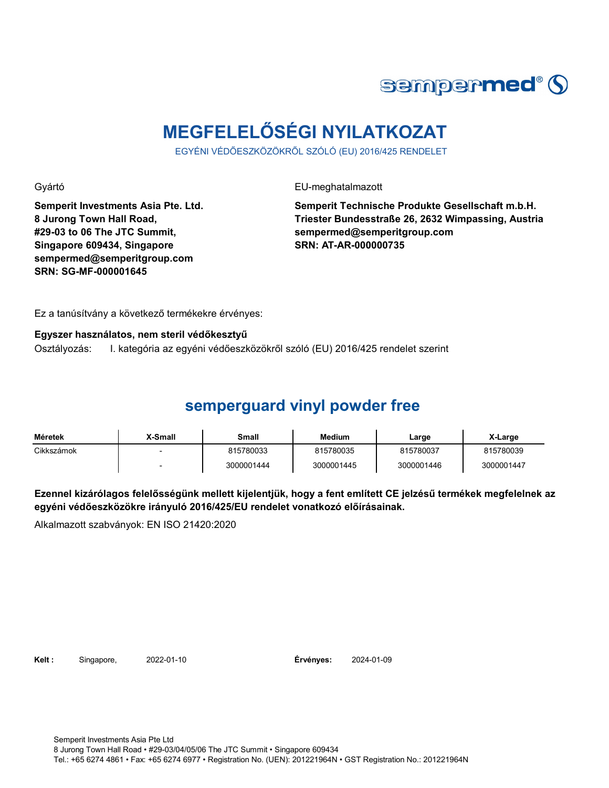

# **MEGFELELŐSÉGI NYILATKOZAT**

EGYÉNI VÉDŐESZKÖZÖKRŐL SZÓLÓ (EU) 2016/425 RENDELET

Gyártó EU-meghatalmazott

**Semperit Investments Asia Pte. Ltd. 8 Jurong Town Hall Road, #29-03 to 06 The JTC Summit, Singapore 609434, Singapore sempermed@semperitgroup.com SRN: SG-MF-000001645**

**Semperit Technische Produkte Gesellschaft m.b.H. Triester Bundesstraße 26, 2632 Wimpassing, Austria sempermed@semperitgroup.com SRN: AT-AR-000000735**

Ez a tanúsítvány a következő termékekre érvényes:

#### **Egyszer használatos, nem steril védőkesztyű**

Osztályozás: I. kategória az egyéni védőeszközökről szóló (EU) 2016/425 rendelet szerint

## **semperguard vinyl powder free**

| Méretek    | <b>X-Small</b> | Small      | <b>Medium</b> | ∟arge      | X-Large    |
|------------|----------------|------------|---------------|------------|------------|
| Cikkszámok |                | 815780033  | 815780035     | 815780037  | 815780039  |
|            |                | 3000001444 | 3000001445    | 3000001446 | 3000001447 |

**Ezennel kizárólagos felelősségünk mellett kijelentjük, hogy a fent említett CE jelzésű termékek megfelelnek az egyéni védőeszközökre irányuló 2016/425/EU rendelet vonatkozó előírásainak.**

Alkalmazott szabványok: EN ISO 21420:2020

**Kelt :** Singapore, 2022-01-10 **Érvényes:** 2024-01-09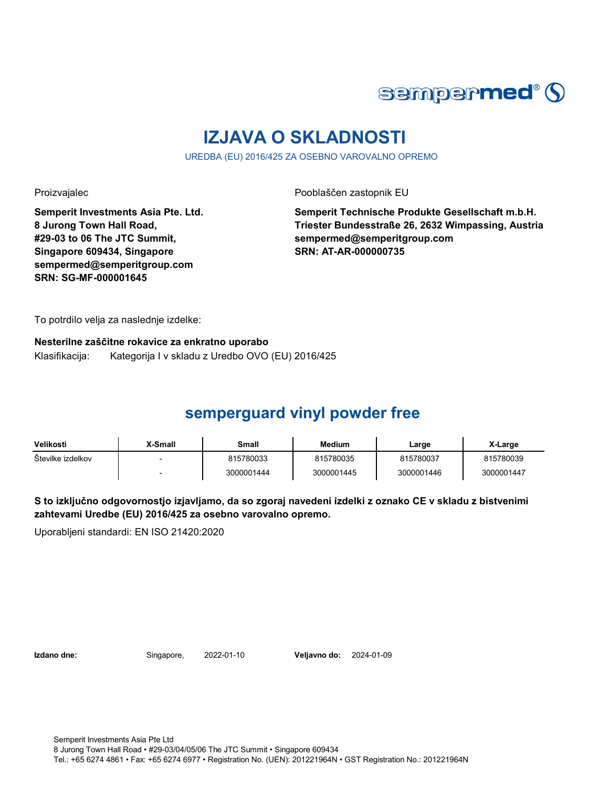

# **IZJAVA O SKLADNOSTI**

UREDBA (EU) 2016/425 ZA OSEBNO VAROVALNO OPREMO

Proizvajalec Pooblaščen zastopnik EU

**Semperit Investments Asia Pte. Ltd. 8 Jurong Town Hall Road, #29-03 to 06 The JTC Summit, Singapore 609434, Singapore sempermed@semperitgroup.com SRN: SG-MF-000001645**

**Semperit Technische Produkte Gesellschaft m.b.H. Triester Bundesstraße 26, 2632 Wimpassing, Austria sempermed@semperitgroup.com SRN: AT-AR-000000735**

To potrdilo velja za naslednje izdelke:

**Nesterilne zaščitne rokavice za enkratno uporabo** Klasifikacija: Kategorija I v skladu z Uredbo OVO (EU) 2016/425

## **semperguard vinyl powder free**

| Velikosti         | <b>X-Small</b> | Small      | Medium     | Large      | X-Large    |
|-------------------|----------------|------------|------------|------------|------------|
| Stevilke izdelkov |                | 815780033  | 815780035  | 815780037  | 815780039  |
|                   |                | 3000001444 | 3000001445 | 3000001446 | 3000001447 |

**S to izključno odgovornostjo izjavljamo, da so zgoraj navedeni izdelki z oznako CE v skladu z bistvenimi zahtevami Uredbe (EU) 2016/425 za osebno varovalno opremo.**

Uporabljeni standardi: EN ISO 21420:2020

**Izdano dne:** Singapore, 2022-01-10 **Veljavno do:** 2024-01-09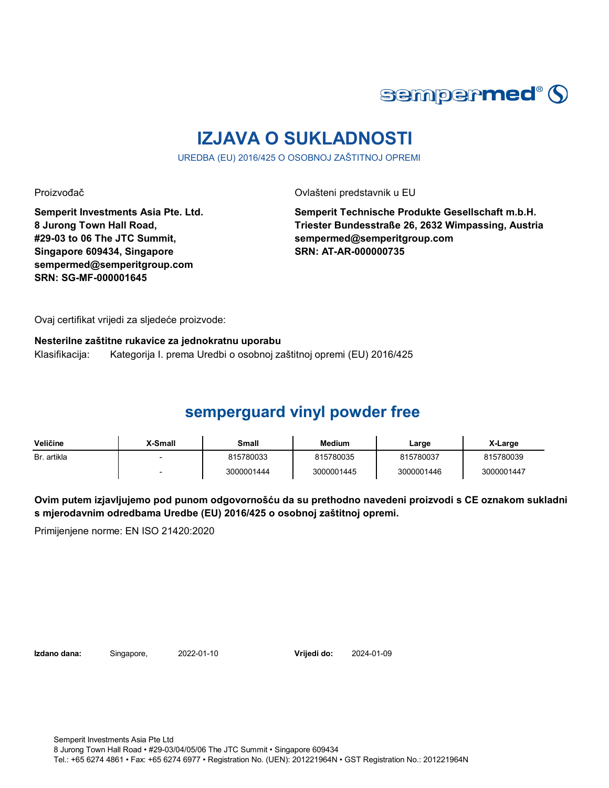

# **IZJAVA O SUKLADNOSTI**

UREDBA (EU) 2016/425 O OSOBNOJ ZAŠTITNOJ OPREMI

Proizvođač **Ovlašteni predstavnik u EU** 

**Semperit Investments Asia Pte. Ltd. 8 Jurong Town Hall Road, #29-03 to 06 The JTC Summit, Singapore 609434, Singapore sempermed@semperitgroup.com SRN: SG-MF-000001645**

**Semperit Technische Produkte Gesellschaft m.b.H. Triester Bundesstraße 26, 2632 Wimpassing, Austria sempermed@semperitgroup.com SRN: AT-AR-000000735**

Ovaj certifikat vrijedi za sljedeće proizvode:

**Nesterilne zaštitne rukavice za jednokratnu uporabu**

Klasifikacija: Kategorija I. prema Uredbi o osobnoj zaštitnoj opremi (EU) 2016/425

## **semperguard vinyl powder free**

| Veličine    | X-Small | Small      | <b>Medium</b> | ∟arge      | X-Large    |
|-------------|---------|------------|---------------|------------|------------|
| Br. artikla |         | 815780033  | 815780035     | 815780037  | 815780039  |
|             |         | 3000001444 | 3000001445    | 3000001446 | 3000001447 |

**Ovim putem izjavljujemo pod punom odgovornošću da su prethodno navedeni proizvodi s CE oznakom sukladni s mjerodavnim odredbama Uredbe (EU) 2016/425 o osobnoj zaštitnoj opremi.**

Primijenjene norme: EN ISO 21420:2020

**Izdano dana:** Singapore, 2022-01-10 **Vrijedi do:** 2024-01-09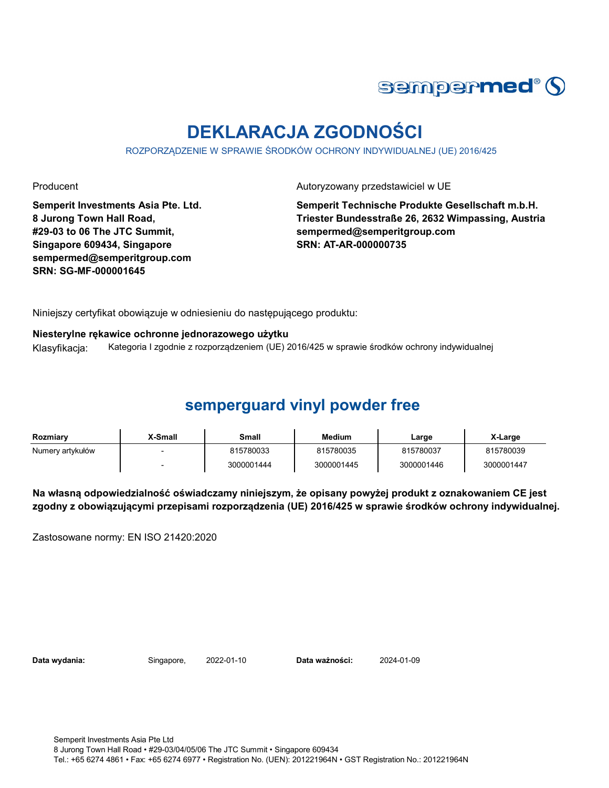

# **DEKLARACJA ZGODNOŚCI**

ROZPORZĄDZENIE W SPRAWIE ŚRODKÓW OCHRONY INDYWIDUALNEJ (UE) 2016/425

**Semperit Investments Asia Pte. Ltd. 8 Jurong Town Hall Road, #29-03 to 06 The JTC Summit, Singapore 609434, Singapore sempermed@semperitgroup.com SRN: SG-MF-000001645**

Producent **Autoryzowany przedstawiciel w UE** 

**Semperit Technische Produkte Gesellschaft m.b.H. Triester Bundesstraße 26, 2632 Wimpassing, Austria sempermed@semperitgroup.com SRN: AT-AR-000000735**

Niniejszy certyfikat obowiązuje w odniesieniu do następującego produktu:

#### **Niesterylne rękawice ochronne jednorazowego użytku**

Klasyfikacja: Kategoria I zgodnie z rozporządzeniem (UE) 2016/425 w sprawie środków ochrony indywidualnej

### **semperguard vinyl powder free**

| Rozmiary         | X-Small | Small      | <b>Medium</b> | Large      | X-Large    |
|------------------|---------|------------|---------------|------------|------------|
| Numery artykułów |         | 815780033  | 815780035     | 815780037  | 815780039  |
|                  |         | 3000001444 | 3000001445    | 3000001446 | 3000001447 |

**Na własną odpowiedzialność oświadczamy niniejszym, że opisany powyżej produkt z oznakowaniem CE jest zgodny z obowiązującymi przepisami rozporządzenia (UE) 2016/425 w sprawie środków ochrony indywidualnej.**

Zastosowane normy: EN ISO 21420:2020

**Data wydania:** Singapore, 2022-01-10 **Data ważności:** 2024-01-09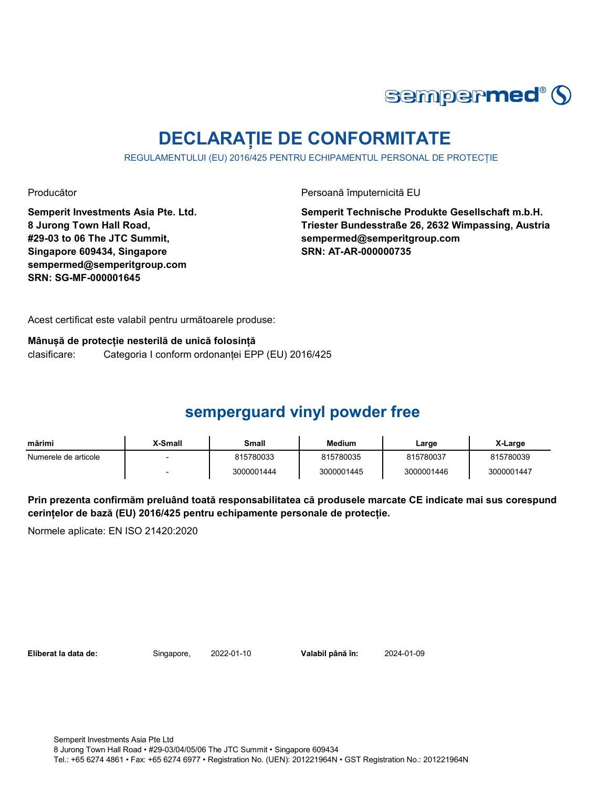

# **DECLARAȚIE DE CONFORMITATE**

REGULAMENTULUI (EU) 2016/425 PENTRU ECHIPAMENTUL PERSONAL DE PROTECȚIE

Producător **Producător** Persoană împuternicită EU

**Semperit Investments Asia Pte. Ltd. 8 Jurong Town Hall Road, #29-03 to 06 The JTC Summit, Singapore 609434, Singapore sempermed@semperitgroup.com SRN: SG-MF-000001645**

**Semperit Technische Produkte Gesellschaft m.b.H. Triester Bundesstraße 26, 2632 Wimpassing, Austria sempermed@semperitgroup.com SRN: AT-AR-000000735**

Acest certificat este valabil pentru următoarele produse:

**Mânușă de protecție nesterilă de unică folosință** clasificare: Categoria I conform ordonanței EPP (EU) 2016/425

## **semperguard vinyl powder free**

| mărimi               | X-Small | Small      | <b>Medium</b> | Large      | X-Large    |
|----------------------|---------|------------|---------------|------------|------------|
| Numerele de articole |         | 815780033  | 815780035     | 815780037  | 815780039  |
|                      |         | 3000001444 | 3000001445    | 3000001446 | 3000001447 |

**Prin prezenta confirmăm preluând toată responsabilitatea că produsele marcate CE indicate mai sus corespund cerințelor de bază (EU) 2016/425 pentru echipamente personale de protecție.**

Normele aplicate: EN ISO 21420:2020

**Eliberat la data de:** Singapore, 2022-01-10 **Valabil până în:** 2024-01-09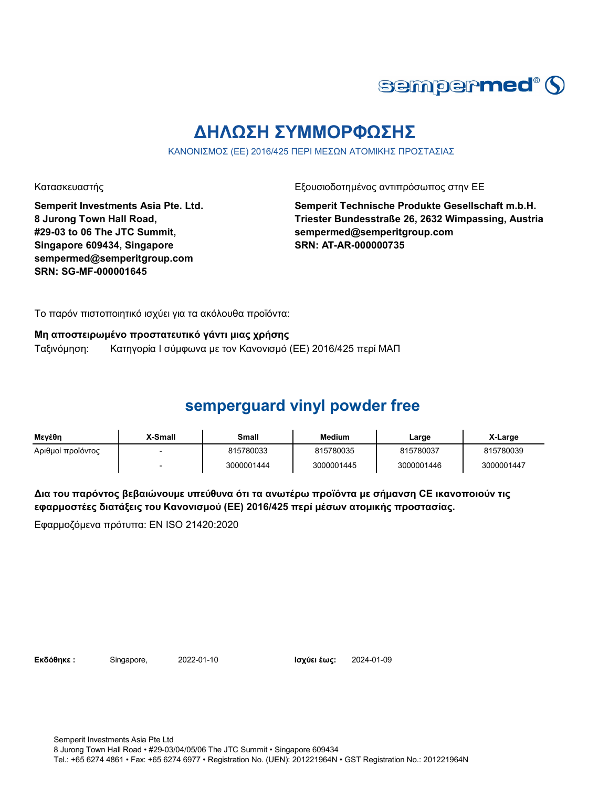

## **ΔΗΛΩΣΗ ΣΥΜΜΟΡΦΩΣΗΣ**

ΚΑΝΟΝΙΣΜΟΣ (ΕΕ) 2016/425 ΠΕΡΙ ΜΕΣΩΝ ΑΤΟΜΙΚΗΣ ΠΡΟΣΤΑΣΙΑΣ

Κατασκευαστής Γεριοδοτημένος αντιπρόσωπος στην ΕΕ

**Semperit Investments Asia Pte. Ltd. 8 Jurong Town Hall Road, #29-03 to 06 The JTC Summit, Singapore 609434, Singapore sempermed@semperitgroup.com SRN: SG-MF-000001645**

**Semperit Technische Produkte Gesellschaft m.b.H. Triester Bundesstraße 26, 2632 Wimpassing, Austria sempermed@semperitgroup.com SRN: AT-AR-000000735**

Το παρόν πιστοποιητικό ισχύει για τα ακόλουθα προϊόντα:

#### **Μη αποστειρωμένο προστατευτικό γάντι μιας χρήσης**

Ταξινόμηση: Κατηγορία I σύμφωνα με τον Κανονισμό (ΕΕ) 2016/425 περί ΜΑΠ

### **semperguard vinyl powder free**

| Μενέθη            | X-Small | Small      | Medium     | Large      | X-Large    |
|-------------------|---------|------------|------------|------------|------------|
| Αριθμοί προϊόντος |         | 815780033  | 815780035  | 815780037  | 815780039  |
|                   |         | 3000001444 | 3000001445 | 3000001446 | 3000001447 |

**Δια του παρόντος βεβαιώνουμε υπεύθυνα ότι τα ανωτέρω προϊόντα με σήμανση CE ικανοποιούν τις εφαρμοστέες διατάξεις του Κανονισμού (ΕΕ) 2016/425 περί μέσων ατομικής προστασίας.**

Εφαρμοζόμενα πρότυπα: EN ISO 21420:2020

**Εκδόθηκε :** Singapore, 2022-01-10 **Ισχύει έως:** 2024-01-09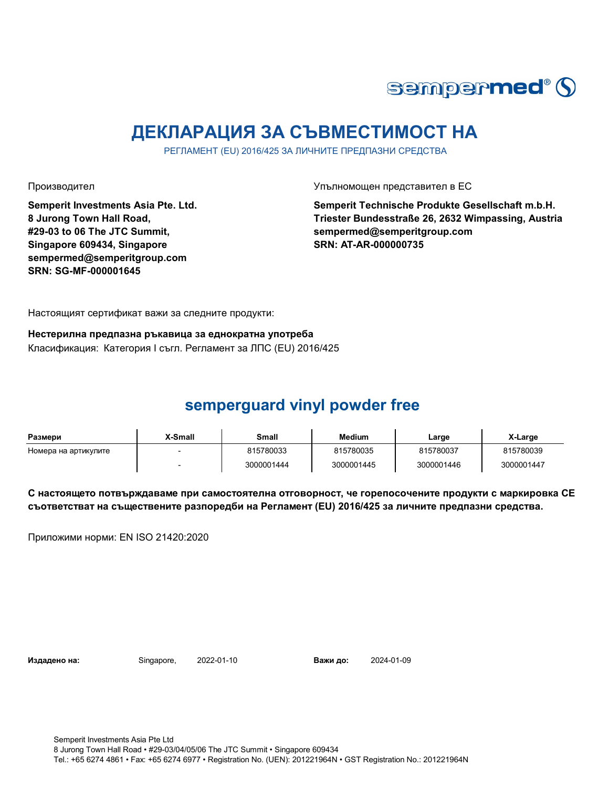

# **ДЕКЛАРАЦИЯ ЗА СЪВМЕСТИМОСТ НА**

РЕГЛАМЕНТ (EU) 2016/425 ЗА ЛИЧНИТЕ ПРЕДПАЗНИ СРЕДСТВА

**Semperit Investments Asia Pte. Ltd. 8 Jurong Town Hall Road, #29-03 to 06 The JTC Summit, Singapore 609434, Singapore sempermed@semperitgroup.com SRN: SG-MF-000001645**

Производител Упълномощен представител в ЕС

**Semperit Technische Produkte Gesellschaft m.b.H. Triester Bundesstraße 26, 2632 Wimpassing, Austria sempermed@semperitgroup.com SRN: AT-AR-000000735**

Настоящият сертификат важи за следните продукти:

**Нестерилна предпазна ръкавица за еднократна употреба** Класификация: Категория I съгл. Регламент за ЛПС (EU) 2016/425

## **semperguard vinyl powder free**

| Размери              | X-Small | Small      | <b>Medium</b> | Large      | X-Large    |
|----------------------|---------|------------|---------------|------------|------------|
| Номера на артикулите |         | 815780033  | 815780035     | 815780037  | 815780039  |
|                      |         | 3000001444 | 3000001445    | 3000001446 | 3000001447 |

**С настоящето потвърждаваме при самостоятелна отговорност, че горепосочените продукти с маркировка СЕ съответстват на съществените разпоредби на Регламент (EU) 2016/425 за личните предпазни средства.**

Приложими норми: EN ISO 21420:2020

**Издадено на:** Singapore, 2022-01-10 **Важи до:** 2024-01-09